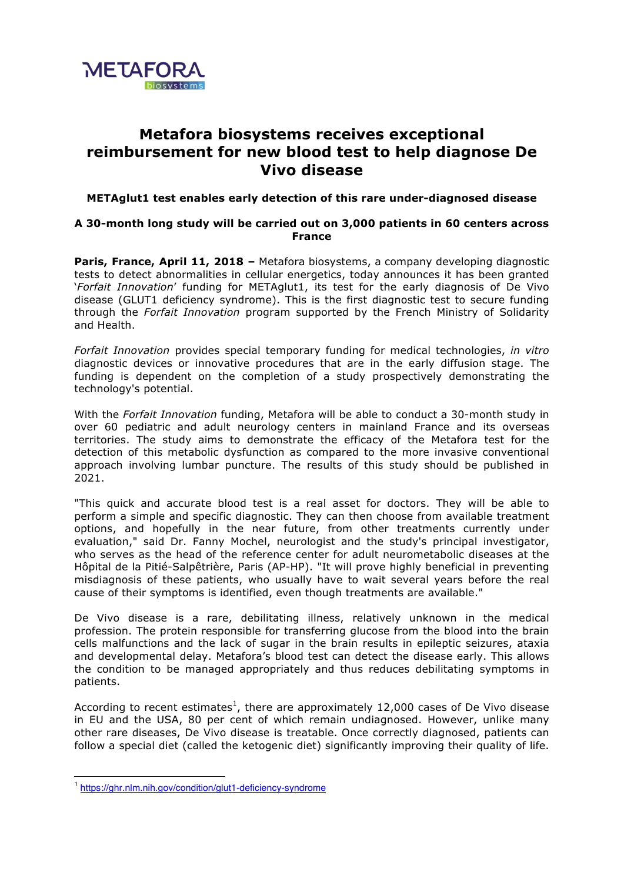

## **Metafora biosystems receives exceptional reimbursement for new blood test to help diagnose De Vivo disease**

## **METAglut1 test enables early detection of this rare under-diagnosed disease**

## **A 30-month long study will be carried out on 3,000 patients in 60 centers across France**

Paris, France, April 11, 2018 - Metafora biosystems, a company developing diagnostic tests to detect abnormalities in cellular energetics, today announces it has been granted '*Forfait Innovation*' funding for METAglut1, its test for the early diagnosis of De Vivo disease (GLUT1 deficiency syndrome). This is the first diagnostic test to secure funding through the *Forfait Innovation* program supported by the French Ministry of Solidarity and Health.

*Forfait Innovation* provides special temporary funding for medical technologies, *in vitro* diagnostic devices or innovative procedures that are in the early diffusion stage. The funding is dependent on the completion of a study prospectively demonstrating the technology's potential.

With the *Forfait Innovation* funding, Metafora will be able to conduct a 30-month study in over 60 pediatric and adult neurology centers in mainland France and its overseas territories. The study aims to demonstrate the efficacy of the Metafora test for the detection of this metabolic dysfunction as compared to the more invasive conventional approach involving lumbar puncture. The results of this study should be published in 2021.

"This quick and accurate blood test is a real asset for doctors. They will be able to perform a simple and specific diagnostic. They can then choose from available treatment options, and hopefully in the near future, from other treatments currently under evaluation," said Dr. Fanny Mochel, neurologist and the study's principal investigator, who serves as the head of the reference center for adult neurometabolic diseases at the Hôpital de la Pitié-Salpêtrière, Paris (AP-HP). "It will prove highly beneficial in preventing misdiagnosis of these patients, who usually have to wait several years before the real cause of their symptoms is identified, even though treatments are available."

De Vivo disease is a rare, debilitating illness, relatively unknown in the medical profession. The protein responsible for transferring glucose from the blood into the brain cells malfunctions and the lack of sugar in the brain results in epileptic seizures, ataxia and developmental delay. Metafora's blood test can detect the disease early. This allows the condition to be managed appropriately and thus reduces debilitating symptoms in patients.

According to recent estimates<sup>1</sup>, there are approximately 12,000 cases of De Vivo disease in EU and the USA, 80 per cent of which remain undiagnosed. However, unlike many other rare diseases, De Vivo disease is treatable. Once correctly diagnosed, patients can follow a special diet (called the ketogenic diet) significantly improving their quality of life.

<sup>&</sup>lt;sup>1</sup> https://ghr.nlm.nih.gov/condition/glut1-deficiency-syndrome